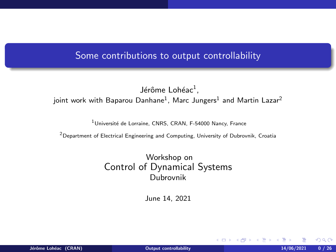# <span id="page-0-0"></span>Some contributions to output controllability

### Jérôme Lohéac<sup>1</sup>, joint work with Baparou Danhane $^1$ , Marc Jungers $^1$  and Martin Lazar $^2$

<sup>1</sup> Université de Lorraine, CNRS, CRAN, F-54000 Nancy, France

<sup>2</sup>Department of Electrical Engineering and Computing, University of Dubrovnik, Croatia

Workshop on Control of Dynamical Systems Dubrovnik

June 14, 2021

 $\Omega$ 

**K ロ ト K 何 ト K ヨ ト K**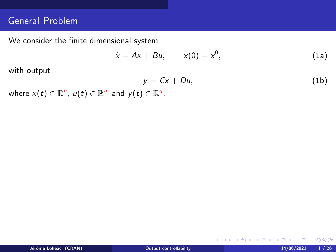# General Problem

We consider the finite dimensional system

<span id="page-1-1"></span>
$$
\dot{x} = Ax + Bu, \qquad x(0) = x^0,
$$
 (1a)

with output

<span id="page-1-0"></span>
$$
y = Cx + Du, \tag{1b}
$$

メロトメ 伊 トメ ミトメ ミト

where  $x(t) \in \mathbb{R}^n$ ,  $u(t) \in \mathbb{R}^m$  and  $y(t) \in \mathbb{R}^q$ .

 $2Q$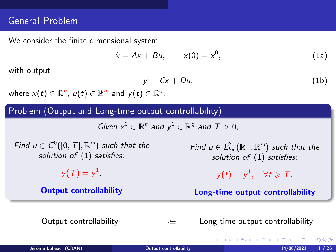# General Problem

We consider the finite dimensional system

$$
\dot{x} = Ax + Bu, \qquad x(0) = x^0,
$$
 (1a)

with output

$$
y = Cx + Du, \tag{1b}
$$

where  $x(t) \in \mathbb{R}^n$ ,  $u(t) \in \mathbb{R}^m$  and  $y(t) \in \mathbb{R}^q$ .

Problem (Output and Long-time output controllability)

Given  $x^0 \in \mathbb{R}^n$  and  $y^1 \in \mathbb{R}^q$  and  $T > 0$ ,

Find  $u \in C^0([0, T], \mathbb{R}^m)$  such that the solution of  $(1)$  satisfies:

$$
y(T)=y^1,
$$

Output controllability

Find  $u \in L^2_{loc}(\mathbb{R}_+, \mathbb{R}^m)$  such that the solution of  $(1)$  satisfies:

$$
y(t)=y^1, \quad \forall t \geqslant T.
$$

Long-time output controllability

イロト イ押ト イヨト イヨト

Output controllability  $\leftarrow$  Long-time output controllability

Jérôme Lohéac (CRAN) and the controllability of the controllability of the controllability of the controllability of the controllability of the controllability of the controllability of the controllability of the controlla

 $\Omega$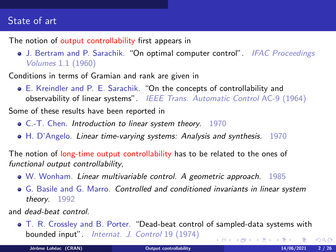# State of art

The notion of output controllability first appears in

• J. Bertram and P. Sarachik. "On optimal computer control". IFAC Proceedings Volumes 1.1 (1960)

Conditions in terms of Gramian and rank are given in

- E. Kreindler and P. E. Sarachik. "On the concepts of controllability and observability of linear systems". IEEE Trans. Automatic Control AC-9 (1964) Some of these results have been reported in
	- C.-T. Chen. Introduction to linear system theory. 1970
	- H. D'Angelo. Linear time-varying systems: Analysis and synthesis. 1970

The notion of long-time output controllability has to be related to the ones of functional output controllability,

- W. Wonham. Linear multivariable control. A geometric approach. 1985
- G. Basile and G. Marro. Controlled and conditioned invariants in linear system theory. 1992

and dead-beat control.

T. R. Crossley and B. Porter. "Dead-beat control of sampled-data systems with bounded input". Internat. J. Control 19 (1974) イロメ イ部メ イ君メ イ君メ

Jérôme Lohéac (CRAN) **[Output controllability](#page-0-0)** 14/06/2021 2 / 26

 $QQ$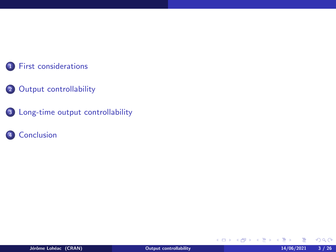### [First considerations](#page-5-0)

### [Output controllability](#page-9-0)

[Long-time output controllability](#page-18-0)

# [Conclusion](#page-46-0)

メロトメ 伊 トメ ミトメ ミト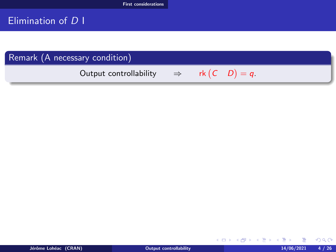# <span id="page-5-0"></span>Elimination of D I

# Remark (A necessary condition) Output controllability  $\Rightarrow$  rk  $(C \ D) = q$ .

Jérôme Lohéac (CRAN) **[Output controllability](#page-0-0)** 14/06/2021 4/26

 $299$ 

<span id="page-5-1"></span>メロメメ 御き メミメ メミメ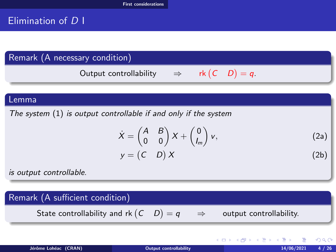# <span id="page-6-0"></span>Elimination of D I

# Remark (A necessary condition)

Output controllability  $\Rightarrow$  rk  $(C \ D) = q$ .

#### Lemma

The system [\(1\)](#page-1-0) is output controllable if and only if the system

$$
\dot{X} = \begin{pmatrix} A & B \\ 0 & 0 \end{pmatrix} X + \begin{pmatrix} 0 \\ l_m \end{pmatrix} v,
$$
\n(2a)\n  
\n
$$
y = \begin{pmatrix} C & D \end{pmatrix} X
$$
\n(2b)

is output controllable.

### Remark (A sufficient condition)

State controllability and rk  $(C \quad D)$ 

output controllability.

メロメメ 御き メ 君 とく 君 と

 $QQ$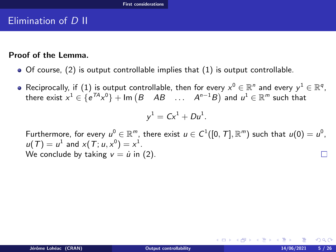# <span id="page-7-0"></span>Elimination of D II

#### Proof of the Lemma.

- $\bullet$  Of course, [\(2\)](#page-5-1) is output controllable implies that [\(1\)](#page-1-0) is output controllable.
- Reciprocally, if  $(1)$  is output controllable, then for every  $x^0\in\mathbb{R}^n$  and every  $y^1\in\mathbb{R}^q,$ there exist  $x^1 \in \{e^{TA}x^0\} + \textsf{Im}\left(B-AB- \dots - A^{n-1}B\right)$  and  $u^1 \in \mathbb{R}^m$  such that

$$
y^1 = Cx^1 + Du^1.
$$

Furthermore, for every  $u^0\in \mathbb{R}^m$ , there exist  $u\in C^1([0,\,T],\mathbb{R}^m)$  such that  $u(0)=u^0,$  $u(T) = u^1$  and  $x(T; u, x^0) = x^1$ . We conclude by taking  $v = \dot{u}$  in [\(2\)](#page-5-1).

 $290$ 

イロト イ押ト イヨト イヨト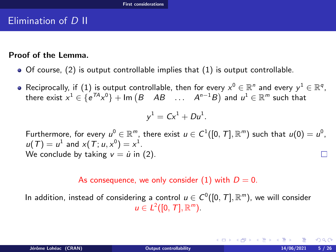# <span id="page-8-0"></span>Elimination of D II

#### Proof of the Lemma.

- $\bullet$  Of course, [\(2\)](#page-5-1) is output controllable implies that [\(1\)](#page-1-0) is output controllable.
- Reciprocally, if  $(1)$  is output controllable, then for every  $x^0\in\mathbb{R}^n$  and every  $y^1\in\mathbb{R}^q,$ there exist  $x^1 \in \{e^{TA}x^0\} + \textsf{Im}\left(B-AB- \dots - A^{n-1}B\right)$  and  $u^1 \in \mathbb{R}^m$  such that

$$
y^1 = Cx^1 + Du^1.
$$

Furthermore, for every  $u^0\in \mathbb{R}^m$ , there exist  $u\in C^1([0,\,T],\mathbb{R}^m)$  such that  $u(0)=u^0,$  $u(T) = u^1$  and  $x(T; u, x^0) = x^1$ . We conclude by taking  $v = \dot{u}$  in [\(2\)](#page-5-1).

#### As consequence, we only consider [\(1\)](#page-1-0) with  $D = 0$ .

In addition, instead of considering a control  $u\in C^0([0,\,T],\mathbb{R}^m)$ , we will consider  $u \in L^2([0, T], \mathbb{R}^m)$ .

つくい

イロト イ押 トイヨ トイヨト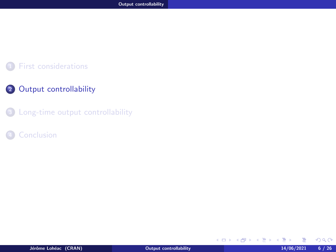### <span id="page-9-0"></span>[First considerations](#page-5-0)

## 2 [Output controllability](#page-9-0)

<sup>3</sup> [Long-time output controllability](#page-18-0)

**[Conclusion](#page-46-0)** 

 $299$ 

メロメ メタメ メモメ メモメ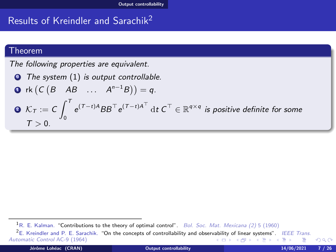# <span id="page-10-0"></span>Results of Kreindler and Sarachik<sup>2</sup>

#### Theorem

The following properties are equivalent.

**O** The system [\(1\)](#page-1-0) is output controllable. **D** rk  $(C(B \ AB \ ... \ A^{n-1}B)) = q$ .  $2 \mathcal{K}_\mathcal{T} := \mathcal{C} \int^\mathcal{T}$  $\int\limits_0^{\tau} \mathrm{e}^{(T-t)A}BB^\top \mathrm{e}^{(T-t)A^\top} \, \mathrm{d}t \; C^\top \in \mathbb{R}^{q \times q}$  is positive definite for some  $T > 0$ .

Automatic Control AC-9 (1964)

つくい

 $1R$ . E. Kalman. "Contributions to the theory of optimal control". Bol. Soc. Mat. Mexicana (2) 5 (1960) <sup>2</sup>E. Kreindler and P. E. Sarachik. "On the concepts of controllability and obser[vabi](#page-9-0)lit[y o](#page-11-0)[f l](#page-9-0)[in](#page-10-0)[ea](#page-12-0)[r](#page-13-0) [sys](#page-8-0)[te](#page-9-0)[m](#page-17-0)[s"](#page-18-0)[.](#page-8-0) [I](#page-9-0)[EE](#page-17-0)[E](#page-18-0) [Tra](#page-0-0)[ns.](#page-51-0)<br>Itomatic Control AC-9 (1964)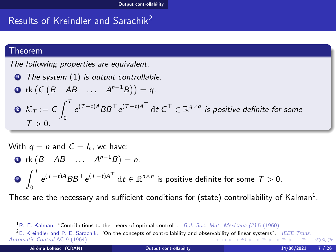# <span id="page-11-0"></span>Results of Kreindler and Sarachik<sup>2</sup>

#### Theorem

The following properties are equivalent.

\n- **①** The system (1) is output controllable.
\n- **①** rk 
$$
(C (B \ AB \ \ldots \ A^{n-1}B)) = q
$$
.
\n- **②**  $K_T := C \int_0^T e^{(T-t)A} BB^T e^{(T-t)A^T} dt C^T \in \mathbb{R}^{q \times q}$  is positive definite for some  $T > 0$ .
\n

With 
$$
q = n
$$
 and  $C = I_n$ , we have:  
\n•  $\mathbf{r} \mathbf{k} (B \ AB \ \dots \ A^{n-1} B) = n$ .  
\n•  $\int_0^T e^{(T-t)A} BB^T e^{(T-t)A^T} dt \in \mathbb{R}^{n \times n}$  is positive definite for some  $T > 0$ .

These are the necessary and sufficient conditions for (state) controllability of Kalman $^1$ .

<sup>&</sup>lt;sup>1</sup>R. E. Kalman. "Contributions to the theory of optimal control". Bol. Soc. Mat. Mexicana (2) 5 (1960)

<sup>&</sup>lt;sup>2</sup>E. Kreindler and P. E. Sarachik. "On the concepts of controllability and obser[vabi](#page-10-0)lit[y o](#page-12-0)[f l](#page-9-0)[in](#page-10-0)[ea](#page-12-0)[r](#page-13-0) [sys](#page-8-0)[te](#page-9-0)[m](#page-17-0)[s"](#page-18-0)[.](#page-8-0) *[I](#page-9-0)[EE](#page-17-0)[E](#page-18-0) [Tra](#page-0-0)[ns.](#page-51-0)*<br>It on the state of the state of the state of the state of the state of the state of the state of Automatic Control AC-9 (1964)  $\Omega$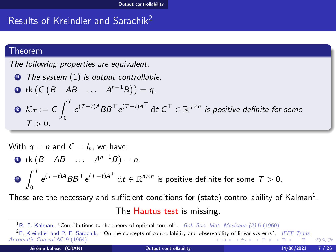# <span id="page-12-0"></span>Results of Kreindler and Sarachik<sup>2</sup>

#### Theorem

The following properties are equivalent.

\n- **①** The system (1) is output controllable.
\n- **①** rk 
$$
(C (B \ AB \ \ldots \ A^{n-1}B)) = q
$$
.
\n- **②**  $K_T := C \int_0^T e^{(T-t)A} BB^T e^{(T-t)A^T} dt C^T \in \mathbb{R}^{q \times q}$  is positive definite for some  $T > 0$ .
\n

With 
$$
q = n
$$
 and  $C = I_n$ , we have:  
\n•  $\mathbf{r} \mathbf{k} (B \ AB \ \dots \ A^{n-1}B) = n$ .  
\n•  $\int_0^T e^{(T-t)A} BB^\top e^{(T-t)A^\top} dt \in \mathbb{R}^{n \times n}$  is positive definite for some  $T > 0$ .

These are the necessary and sufficient conditions for (state) controllability of Kalman $^1$ .

The Hautus test is missing.

<sup>&</sup>lt;sup>1</sup>R. E. Kalman. "Contributions to the theory of optimal control". Bol. Soc. Mat. Mexicana (2) 5 (1960)

<sup>&</sup>lt;sup>2</sup>E. Kreindler and P. E. Sarachik. "On the concepts of controllability and obser[vabi](#page-11-0)lit[y o](#page-13-0)[f l](#page-9-0)[in](#page-10-0)[ea](#page-12-0)[r](#page-13-0) [sys](#page-8-0)[te](#page-9-0)[m](#page-17-0)[s"](#page-18-0)[.](#page-8-0) [I](#page-9-0)[EE](#page-17-0)[E](#page-18-0) [Tra](#page-0-0)[ns.](#page-51-0)<br>Itomatic Control AC-9 (1964) Automatic Control AC-9 (1964) つくい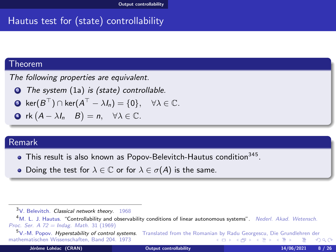# <span id="page-13-0"></span>Hautus test for (state) controllability

#### Theorem

The following properties are equivalent.

<sup>0</sup> The system [\(1a\)](#page-1-1) is (state) controllable.

• 
$$
\ker(B^{\top}) \cap \ker(A^{\top} - \lambda I_n) = \{0\}, \quad \forall \lambda \in \mathbb{C}.
$$

• 
$$
\mathsf{rk}(A - \lambda I_n \mid B) = n, \quad \forall \lambda \in \mathbb{C}.
$$

### Remark

- This result is also known as Popov-Belevitch-Hautus condition<sup>345</sup>.
- Doing the test for  $\lambda \in \mathbb{C}$  or for  $\lambda \in \sigma(A)$  is the same.

 $3V.$  Belevitch. Classical network theory. 1968

<sup>&</sup>lt;sup>4</sup>M. L. J. Hautus. "Controllability and observability conditions of linear autonomous systems". Nederl. Akad. Wetensch. Proc. Ser. A 72 = Indag. Math. 31 (1969)<br> $5V$ .-M. Popov. Hyperstability of control systems.

Translated from the Romani[an b](#page-12-0)y [Ra](#page-14-0)[du](#page-12-0) [Ge](#page-13-0)[or](#page-14-0)[ge](#page-8-0)[sc](#page-9-0)[u,](#page-17-0) [D](#page-18-0)[ie](#page-8-0) [G](#page-9-0)[ru](#page-17-0)[nd](#page-18-0)[leh](#page-0-0)[ren d](#page-51-0)er mathematischen Wissenschaften, Band 204. 1973 イロメ イ母メ イヨメ イヨ つくい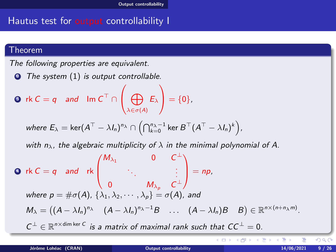## <span id="page-14-0"></span>Hautus test for output controllability I

#### Theorem

The following properties are equivalent.

**O** The system [\(1\)](#page-1-0) is output controllable.

$$
\text{ or } k \subset = q \quad \text{and} \quad \text{Im } C^{\top} \cap \left( \bigoplus_{\lambda \in \sigma(A)} E_{\lambda} \right) = \{0\},
$$

where 
$$
E_{\lambda} = \ker(A^{\top} - \lambda I_n)^{n_{\lambda}} \cap \left(\bigcap_{k=0}^{n_{\lambda}-1} \ker B^{\top}(A^{\top} - \lambda I_n)^{k}\right)
$$
,

with  $n_{\lambda}$ , the algebraic multiplicity of  $\lambda$  in the minimal polynomial of A.

 $M_{\lambda_1}$  0  $C^{\perp}$  $\sqrt{ }$ <sup>1</sup> . . . . . . **1** rk  $C = q$  and rk  $=$  np,  $\overline{\phantom{a}}$ 0  $M_{\lambda_p}$   $C^{\perp}$ where  $p = \#\sigma(A)$ ,  $\{\lambda_1, \lambda_2, \cdots, \lambda_p\} = \sigma(A)$ , and  $M_{\lambda} = ((A - \lambda I_n)^{n_{\lambda}} \quad (A - \lambda I_n)^{n_{\lambda}-1}B \quad \dots \quad (A - \lambda I_n)B \quad B) \in \mathbb{R}^{n \times (n+n_{\lambda}m)}$ .  $C^{\perp} \in \mathbb{R}^{n \times \dim \ker C}$  is a matrix of maximal rank such that  $CC^{\perp} = 0$ . K ロ ▶ K 御 ▶ K 君 ▶ K 君 ▶

 $209$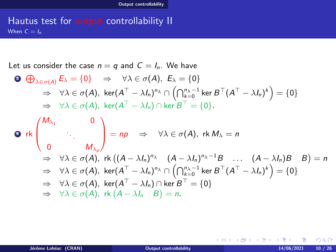### <span id="page-15-0"></span>Hautus test for output controllability II When  $C = I_n$

Let us consider the case  $n = q$  and  $C = I_n$ . We have

\n- \n
$$
\bigoplus_{\lambda \in \sigma(A)} E_{\lambda} = \{0\} \Rightarrow \forall \lambda \in \sigma(A), E_{\lambda} = \{0\}
$$
\n $\Rightarrow \forall \lambda \in \sigma(A), \ker(A^{\top} - \lambda I_n)^{n_{\lambda}} \cap \left( \bigcap_{k=0}^{n_{\lambda}-1} \ker B^{\top} (A^{\top} - \lambda I_n)^{k} \right) = \{0\}$ \n $\Rightarrow \forall \lambda \in \sigma(A), \ker(A^{\top} - \lambda I_n) \cap \ker B^{\top} = \{0\}.$ \n
\n- \n $\bigotimes \text{rk} \begin{pmatrix} M_{\lambda_1} & 0 \\ & \ddots & \\ 0 & M_{\lambda_p} \end{pmatrix} = np \Rightarrow \forall \lambda \in \sigma(A), \text{ rk } M_{\lambda} = n$ \n $\Rightarrow \forall \lambda \in \sigma(A), \text{ rk } \big((A - \lambda I_n)^{n_{\lambda}} \quad (A - \lambda I_n)^{n_{\lambda}-1}B \quad \dots \quad (A - \lambda I_n)B \quad B \big) = n$ \n $\Rightarrow \forall \lambda \in \sigma(A), \ker(A^{\top} - \lambda I_n)^{n_{\lambda}} \cap \left( \bigcap_{k=0}^{n_{\lambda}-1} \ker B^{\top} (A^{\top} - \lambda I_n)^{k} \right) = \{0\}$ \n $\Rightarrow \forall \lambda \in \sigma(A), \ker(A^{\top} - \lambda I_n) \cap \ker B^{\top} = \{0\}$ \n $\Rightarrow \forall \lambda \in \sigma(A), \text{ rk } (A - \lambda I_n)B = n.$ \n
\n

 $299$ 

メロトメ 伊 トメ ミトメ 毛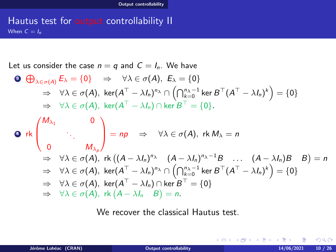### <span id="page-16-0"></span>Hautus test for output controllability II When  $C = I_n$

Let us consider the case  $n = q$  and  $C = I_n$ . We have

\n- \n
$$
\bigoplus_{\lambda \in \sigma(A)} E_{\lambda} = \{0\} \Rightarrow \forall \lambda \in \sigma(A), E_{\lambda} = \{0\}
$$
\n $\Rightarrow \forall \lambda \in \sigma(A), \ker(A^{\top} - \lambda I_n)^{n_{\lambda}} \cap \left( \bigcap_{k=0}^{n_{\lambda}-1} \ker B^{\top} (A^{\top} - \lambda I_n)^{k} \right) = \{0\}$ \n $\Rightarrow \forall \lambda \in \sigma(A), \ker(A^{\top} - \lambda I_n) \cap \ker B^{\top} = \{0\}.$ \n
\n- \n $\bigotimes$  rk\n  $\begin{pmatrix} M_{\lambda_1} & 0 \\ & \ddots & \\ 0 & M_{\lambda_p} \end{pmatrix} = np \Rightarrow \forall \lambda \in \sigma(A), \text{ rk } M_{\lambda} = n$ \n $\Rightarrow \forall \lambda \in \sigma(A), \text{ rk } \big((A - \lambda I_n)^{n_{\lambda}} \quad (A - \lambda I_n)^{n_{\lambda}-1}B \quad \dots \quad (A - \lambda I_n)B \quad B \big) = n$ \n $\Rightarrow \forall \lambda \in \sigma(A), \ker(A^{\top} - \lambda I_n)^{n_{\lambda}} \cap \left( \bigcap_{k=0}^{n_{\lambda}-1} \ker B^{\top} (A^{\top} - \lambda I_n)^{k} \right) = \{0\}$ \n $\Rightarrow \forall \lambda \in \sigma(A), \ker(A^{\top} - \lambda I_n) \cap \ker B^{\top} = \{0\}$ \n $\Rightarrow \forall \lambda \in \sigma(A), \text{ rk } (A - \lambda I_n)B = n.$ \n
\n

We recover the classical Hautus test.

 $QQ$ 

メロトメ 伊 トメ 君 トメ 君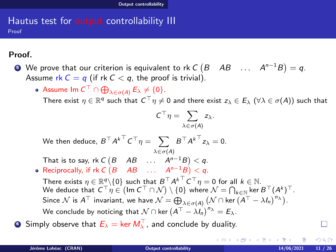### <span id="page-17-0"></span>Hautus test for output controllability III Proof

## Proof.

 $\bullet$  We prove that our criterion is equivalent to rk C  $(B\quad AB\quad \dots \quad A^{n-1}B)=q.$ Assume rk  $C = q$  (if rk  $C < q$ , the proof is trivial).

Assume  $\textsf{Im} \, \mathcal{C}^\top \cap \bigoplus_{\lambda \in \sigma(A)} E_\lambda \neq \{0\}.$ 

There exist  $\eta\in\mathbb{R}^q$  such that  $C^\top\eta\neq 0$  and there exist  $z_\lambda\in E_\lambda$   $(\forall\lambda\in\sigma(A))$  such that

$$
C^\top \eta = \sum_{\lambda \in \sigma(A)} z_\lambda.
$$

We then deduce,  $B^\top {A^k}^\top C^\top \eta = \sum\ B^\top {A^k}^\top z_\lambda = 0.$  $\lambda \in \sigma(A)$ 

That is to say, rk  $C\begin{pmatrix} B & AB & \dots & A^{n-1}B \end{pmatrix} < q$ .

Reciprocally, if rk  $C(B \ AB \ ... \ A^{n-1}B) < q$ .

There exists  $\eta\in\mathbb{R}^q\backslash\{0\}$  such that  $B^\top{A^k}^\top C^\top\eta=0$  for all  $k\in\mathbb{N}.$ We deduce that  $C^\top \eta \in \big(\textsf{Im}\,C^\top \cap \mathcal{N}\big) \setminus \{0\}$  where  $\mathcal{N} = \bigcap_{k \in \mathbb{N}}$  ker  $B^\top (A^k)^\top$ . Since  $\mathcal N$  is  $A^{\top}$  invariant, we have  $\mathcal N=\bigoplus_{\lambda\in\sigma(A)}\big(\mathcal N\cap\ker\widetilde{(A^{\top}-\lambda I_n)}^{n_\lambda}\big).$ We conclude by noticing that  $\mathcal{N} \cap$  ker  $\left(A^\top - \lambda I_n\right)^{n_\lambda} = E_\lambda.$ 

 $\bullet$  Simply observe that  $E_\lambda = \ker M^\top_\lambda$ , and conclude by duality.

つのへ

メロト メ御 トメ き トメ きょ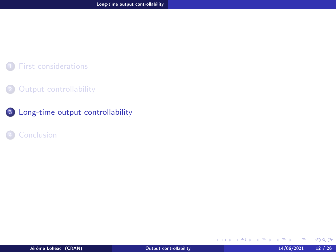### <span id="page-18-0"></span>[First considerations](#page-5-0)

### 2 [Output controllability](#page-9-0)

# 3 [Long-time output controllability](#page-18-0)

#### **[Conclusion](#page-46-0)**

 $299$ 

メロメ メタメ メモメ メモメ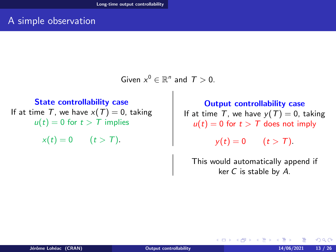# <span id="page-19-0"></span>A simple observation

Given  $x^0 \in \mathbb{R}^n$  and  $T > 0$ .

State controllability case If at time T, we have  $x(T) = 0$ , taking  $u(t) = 0$  for  $t > T$  implies

 $x(t) = 0$   $(t > T)$ .

Output controllability case If at time T, we have  $y(T) = 0$ , taking  $u(t) = 0$  for  $t > T$  does not imply

 $y(t) = 0$   $(t > T)$ .

This would automatically append if ker  $C$  is stable by  $A$ .

**K ロ ▶ K 母 ▶ K ヨ ▶ K** 

つのへ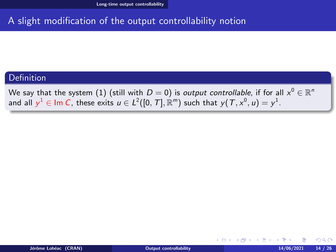# <span id="page-20-0"></span>A slight modification of the output controllability notion

### **Definition**

We say that the system  $(1)$  (still with  $D=0)$  is *output controllable*, if for all  $x^0\in\mathbb{R}^n$ and all  $y^1\in$  lm  $C$ , these exits  $u\in L^2([0,\,T],\mathbb{R}^m)$  such that  $y(\,T,x^0,\,u)=y^1.$ 

 $\Omega$ 

**K ロ ▶ K 何 ▶ K**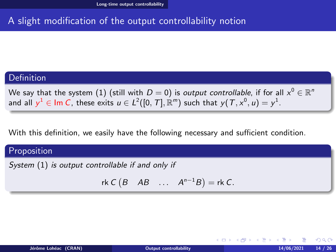# <span id="page-21-0"></span>A slight modification of the output controllability notion

### Definition

We say that the system  $(1)$  (still with  $D=0)$  is *output controllable*, if for all  $x^0\in\mathbb{R}^n$ and all  $y^1\in$  lm  $C$ , these exits  $u\in L^2([0,\,T],\mathbb{R}^m)$  such that  $y(\,T,x^0,\,u)=y^1.$ 

With this definition, we easily have the following necessary and sufficient condition.

### Proposition

System [\(1\)](#page-1-0) is output controllable if and only if

$$
rk C(B \tAB \t... A^{n-1}B) = rk C.
$$

**← ロ ▶ → 何 ▶** 

つのへ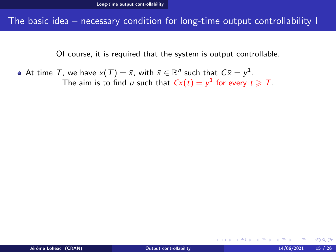<span id="page-22-0"></span>The basic idea – necessary condition for long-time output controllability I

Of course, it is required that the system is output controllable.

At time  $\mathcal T$ , we have  $\mathsf{x}(\mathcal T)=\bar{\mathsf{x}}$ , with  $\bar{\mathsf{x}}\in\mathbb R^n$  such that  $\mathcal C\bar{\mathsf{x}}=\mathsf{y}^1$ . The aim is to find u such that  $Cx(t) = y^1$  for every  $t \geqslant T$ .

つくい

**K ロ ト K 何 ト K ヨ ト**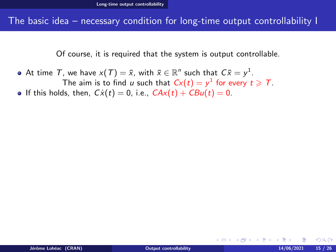### <span id="page-23-0"></span>The basic idea – necessary condition for long-time output controllability I

Of course, it is required that the system is output controllable.

- At time  $\mathcal T$ , we have  $\mathsf{x}(\mathcal T)=\bar{\mathsf{x}}$ , with  $\bar{\mathsf{x}}\in\mathbb R^n$  such that  $\mathcal C\bar{\mathsf{x}}=\mathsf{y}^1$ . The aim is to find u such that  $Cx(t) = y^1$  for every  $t \geqslant T$ .
- **•** If this holds, then,  $Cx(t) = 0$ , i.e.,  $CAx(t) + CBu(t) = 0$ .

つくい

**K ロ ト K 伊 ト K ヨ ト**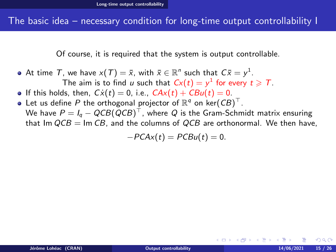Of course, it is required that the system is output controllable.

- <span id="page-24-0"></span>At time  $\mathcal T$ , we have  $\mathsf{x}(\mathcal T)=\bar{\mathsf{x}}$ , with  $\bar{\mathsf{x}}\in\mathbb R^n$  such that  $\mathcal C\bar{\mathsf{x}}=\mathsf{y}^1$ . The aim is to find u such that  $Cx(t) = y^1$  for every  $t \geqslant T$ .
- If this holds, then,  $C\dot{x}(t) = 0$ , i.e.,  $C Ax(t) + C Bu(t) = 0$ .
- Let us define  $P$  the orthogonal projector of  $\mathbb{R}^q$  on ker $(\mathcal{C}B)^{\top}.$ We have  $P = I_q - QCB(QCB)^\top$ , where  $Q$  is the Gram-Schmidt matrix ensuring that Im  $QCB = \text{Im } CB$ , and the columns of  $QCB$  are orthonormal. We then have,

$$
-PCAx(t) = PCBu(t) = 0.
$$

 $\Omega$ 

**∢ロト ∢母ト ∢ヨト**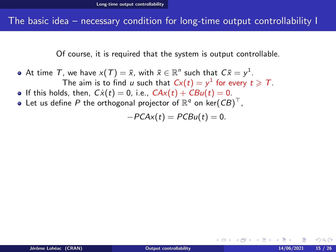Of course, it is required that the system is output controllable.

- <span id="page-25-0"></span>At time  $\mathcal T$ , we have  $\mathsf{x}(\mathcal T)=\bar{\mathsf{x}}$ , with  $\bar{\mathsf{x}}\in\mathbb R^n$  such that  $\mathcal C\bar{\mathsf{x}}=\mathsf{y}^1$ . The aim is to find u such that  $Cx(t) = y^1$  for every  $t \geqslant T$ .
- **•** If this holds, then,  $Cx(t) = 0$ , i.e.,  $CAx(t) + CBu(t) = 0$ .
- Let us define  $P$  the orthogonal projector of  $\mathbb{R}^q$  on ker $(\mathcal{C}B)^{\top}$ ,

 $-PCAx(t) = PCBu(t) = 0.$ 

**∢ロト ∢母ト ∢ヨト** 

 $\Omega$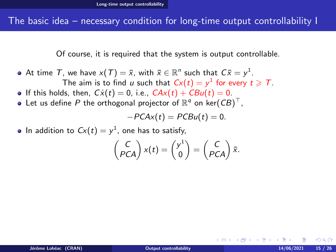Of course, it is required that the system is output controllable.

- <span id="page-26-0"></span>At time  $\mathcal T$ , we have  $\mathsf{x}(\mathcal T)=\bar{\mathsf{x}}$ , with  $\bar{\mathsf{x}}\in\mathbb R^n$  such that  $\mathcal C\bar{\mathsf{x}}=\mathsf{y}^1$ . The aim is to find u such that  $Cx(t) = y^1$  for every  $t \geqslant T$ .
- If this holds, then,  $C\dot{x}(t) = 0$ , i.e.,  $C Ax(t) + C Bu(t) = 0$ .
- Let us define  $P$  the orthogonal projector of  $\mathbb{R}^q$  on ker $(\mathcal{C}B)^{\top}$ ,

$$
-PCAx(t) = PCBu(t) = 0.
$$

In addition to  $Cx(t) = y^1$ , one has to satisfy,

$$
\begin{pmatrix} C \\ PCA \end{pmatrix} x(t) = \begin{pmatrix} y^1 \\ 0 \end{pmatrix} = \begin{pmatrix} C \\ PCA \end{pmatrix} \bar{x}.
$$

 $\Omega$ 

**∢ロト ∢母ト ∢ヨト**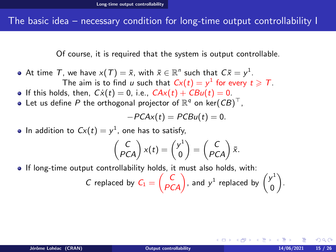## <span id="page-27-0"></span>The basic idea – necessary condition for long-time output controllability I

Of course, it is required that the system is output controllable.

- At time  $\mathcal T$ , we have  $\mathsf{x}(\mathcal T)=\bar{\mathsf{x}}$ , with  $\bar{\mathsf{x}}\in\mathbb R^n$  such that  $\mathcal C\bar{\mathsf{x}}=\mathsf{y}^1$ . The aim is to find u such that  $Cx(t) = y^1$  for every  $t \geqslant T$ .
- If this holds, then,  $Cx(t) = 0$ , i.e.,  $CAx(t) + CBu(t) = 0$ .
- Let us define  $P$  the orthogonal projector of  $\mathbb{R}^q$  on ker $(\mathcal{C}B)^{\top}$ ,

$$
-PCAx(t) = PCBu(t) = 0.
$$

In addition to  $Cx(t) = y^1$ , one has to satisfy,

$$
\begin{pmatrix} C \\ PCA \end{pmatrix} x(t) = \begin{pmatrix} y^1 \\ 0 \end{pmatrix} = \begin{pmatrix} C \\ PCA \end{pmatrix} \bar{x}.
$$

**If long-time output controllability holds, it must also holds, with:** 

*C* replaced by 
$$
C_1 = \begin{pmatrix} C \\ PCA \end{pmatrix}
$$
, and  $y^1$  replaced by  $\begin{pmatrix} y^1 \\ 0 \end{pmatrix}$ .

 $\Omega$ 

イロト イ押ト イヨトス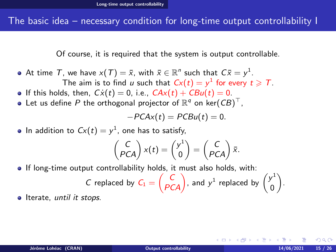## <span id="page-28-0"></span>The basic idea – necessary condition for long-time output controllability I

Of course, it is required that the system is output controllable.

- At time  $\mathcal T$ , we have  $\mathsf{x}(\mathcal T)=\bar{\mathsf{x}}$ , with  $\bar{\mathsf{x}}\in\mathbb R^n$  such that  $\mathcal C\bar{\mathsf{x}}=\mathsf{y}^1$ . The aim is to find u such that  $Cx(t) = y^1$  for every  $t \geqslant T$ .
- If this holds, then,  $C\dot{x}(t) = 0$ , i.e.,  $C Ax(t) + C Bu(t) = 0$ .
- Let us define  $P$  the orthogonal projector of  $\mathbb{R}^q$  on ker $(\mathcal{C}B)^{\top}$ ,

$$
-PCAx(t) = PCBu(t) = 0.
$$

In addition to  $Cx(t) = y^1$ , one has to satisfy,

$$
\begin{pmatrix} C \\ PCA \end{pmatrix} x(t) = \begin{pmatrix} y^1 \\ 0 \end{pmatrix} = \begin{pmatrix} C \\ PCA \end{pmatrix} \bar{x}.
$$

**If long-time output controllability holds, it must also holds, with:** 

*C* replaced by 
$$
C_1 = \begin{pmatrix} C \\ PCA \end{pmatrix}
$$
, and  $y^1$  replaced by  $\begin{pmatrix} y^1 \\ 0 \end{pmatrix}$ .

**I** Iterate, until it stops.

 $\Omega$ 

イロト イ伊ト イヨト イヨ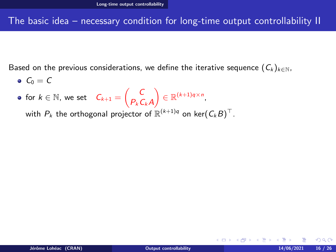# <span id="page-29-0"></span>The basic idea – necessary condition for long-time output controllability II

Based on the previous considerations, we define the iterative sequence  $(C_k)_{k\in\mathbb{N}}$ ,

- $\bullet$   $C_0 = C$
- for  $k \in \mathbb{N}$ , we set  $C_{k+1} = \begin{pmatrix} C \\ D \end{pmatrix}$  $P_kC_kA$  $\Big) \in \mathbb{R}^{(k+1)q \times n}$

with  $P_k$  the orthogonal projector of  $\mathbb{R}^{(k+1)q}$  on ker $(\mathcal{C}_k B)^\top.$ 

 $\Omega$ 

メロトメ 伊 トメ ミトメ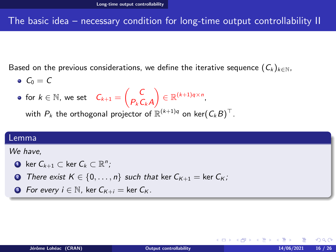<span id="page-30-0"></span>The basic idea – necessary condition for long-time output controllability II

Based on the previous considerations, we define the iterative sequence  $(C_k)_{k\in\mathbb{N}}$ ,

 $\bullet$  C<sub>0</sub> = C

• for 
$$
k \in \mathbb{N}
$$
, we set  $C_{k+1} = \begin{pmatrix} C \\ P_k C_k A \end{pmatrix} \in \mathbb{R}^{(k+1)q \times n}$ ,

with  $P_k$  the orthogonal projector of  $\mathbb{R}^{(k+1)q}$  on ker $(\mathcal{C}_k B)^\top.$ 

#### Lemma

We have,

• ker 
$$
C_{k+1} \subset \text{ker } C_k \subset \mathbb{R}^n
$$
;

- **2** There exist  $K \in \{0, \ldots, n\}$  such that ker  $C_{K+1} = \ker C_K$ ;
- **3** For every  $i \in \mathbb{N}$ , ker  $C_{K+i} = \ker C_K$ .

つくい

**∢ロト ∢母ト ∢ヨト**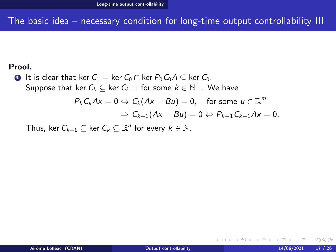# <span id="page-31-0"></span>The basic idea – necessary condition for long-time output controllability III

#### Proof.

**■** It is clear that ker  $C_1$  = ker  $C_0 \cap$  ker  $P_0C_0A \subseteq$  ker  $C_0$ . Suppose that ker  $\mathcal{C}_k \subseteq$  ker  $\mathcal{C}_{k-1}$  for some  $k \in \mathbb{N}^\top$ . We have

$$
P_k C_k Ax = 0 \Leftrightarrow C_k (Ax - Bu) = 0, \text{ for some } u \in \mathbb{R}^m
$$
  
\n
$$
\Rightarrow C_{k-1} (Ax - Bu) = 0 \Leftrightarrow P_{k-1} C_{k-1} Ax = 0.
$$

Thus, ker  $C_{k+1} \subseteq \text{ker } C_k \subseteq \mathbb{R}^n$  for every  $k \in \mathbb{N}$ .

**◆ロト→伊ト** 

 $\Omega$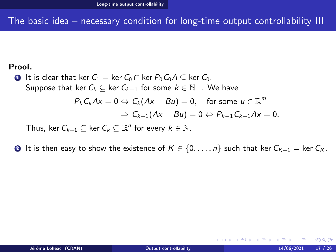# <span id="page-32-0"></span>The basic idea – necessary condition for long-time output controllability III

#### Proof.

**■** It is clear that ker  $C_1 =$  ker  $C_0 \cap$  ker  $P_0 C_0 A \subseteq$  ker  $C_0$ . Suppose that ker  $\mathcal{C}_k \subseteq$  ker  $\mathcal{C}_{k-1}$  for some  $k \in \mathbb{N}^\top$ . We have  $P_kC_kAx=0 \Leftrightarrow C_k(Ax-Bu)=0, \quad \text{for some } u \in \mathbb{R}^m$ 

$$
C_kAx = 0 \Leftrightarrow C_k(Ax - Bu) = 0, \text{ for some } u \in \mathbb{R}
$$
  
\n
$$
\Rightarrow C_{k-1}(Ax - Bu) = 0 \Leftrightarrow P_{k-1}C_{k-1}Ax = 0.
$$

Thus, ker  $C_{k+1} \subseteq \text{ker } C_k \subseteq \mathbb{R}^n$  for every  $k \in \mathbb{N}$ .

**2** It is then easy to show the existence of  $K \in \{0, \ldots, n\}$  such that ker  $C_{K+1} = \ker C_K$ .

 $\Omega$ 

メロメ メ母メ メミメ メミメ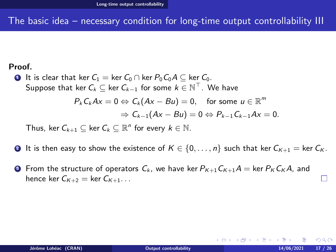# <span id="page-33-0"></span>The basic idea – necessary condition for long-time output controllability III

#### Proof.

**■** It is clear that ker  $C_1 =$  ker  $C_0 \cap$  ker  $P_0C_0A \subseteq$  ker  $C_0$ . Suppose that ker  $\mathcal{C}_k \subseteq$  ker  $\mathcal{C}_{k-1}$  for some  $k \in \mathbb{N}^\top$ . We have m

$$
P_k C_k Ax = 0 \Leftrightarrow C_k (Ax - Bu) = 0, \text{ for some } u \in \mathbb{R}^m
$$
  
\n
$$
\Rightarrow C_{k-1} (Ax - Bu) = 0 \Leftrightarrow P_{k-1} C_{k-1} Ax = 0.
$$

Thus, ker  $C_{k+1} \subseteq \text{ker } C_k \subseteq \mathbb{R}^n$  for every  $k \in \mathbb{N}$ .

- **4** It is then easy to show the existence of  $K \in \{0, \ldots, n\}$  such that ker  $C_{K+1} = \ker C_K$ .
- **3** From the structure of operators  $C_k$ , we have ker  $P_{K+1}C_{K+1}A = \ker P_K C_K A$ , and hence ker  $C_{K+2}$  = ker  $C_{K+1}$ ...

 $\Omega$ 

イロト イ押ト イヨト イヨト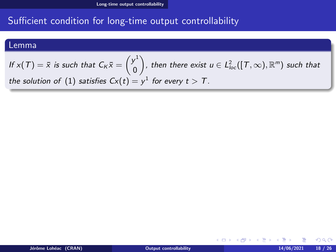#### <span id="page-34-0"></span>Lemma

#### If  $x(T) = \bar{x}$  is such that  $C_K \bar{x} = \begin{pmatrix} y^1 \\ 0 \end{pmatrix}$ 0  $\Big),$  then there exist  $u\in L^2_{loc}([T,\infty),{\mathbb R}^m)$  such that the solution of  $(1)$  satisfies  $Cx(t) = y^1$  for every  $t > T$ .

**K ロ ▶ K 何 ▶** 

 $\Omega$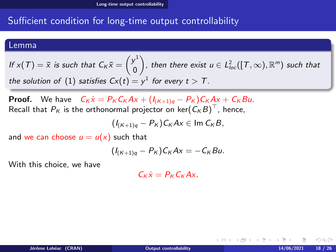#### <span id="page-35-0"></span>Lemma

If 
$$
x(T) = \overline{x}
$$
 is such that  $C_K \overline{x} = \begin{pmatrix} y^1 \\ 0 \end{pmatrix}$ , then there exist  $u \in L^2_{loc}([T, \infty), \mathbb{R}^m)$  such that  
the solution of (1) satisfies  $Cx(t) = y^1$  for every  $t > T$ .

**Proof.** We have  $C_K \dot{x} = P_K C_K Ax + (I_{(K+1)q} - P_K)C_K Ax + C_K Bu$ . Recall that  $P_K$  is the orthonormal projector on ker $(\mathit{C}_K B)^{\top}$ , hence,

$$
(I_{(K+1)q}-P_K)C_KAx\in \text{Im }C_KB,
$$

and we can choose  $u = u(x)$  such that

$$
(I_{(K+1)q}-P_K)C_KAx=-C_KBu.
$$

With this choice, we have

 $C_k \dot{x} = P_k C_k A x$ .

つくい

K ロト K 御 ト K 唐 ト K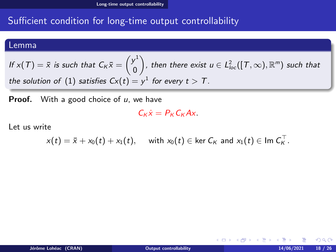### <span id="page-36-0"></span>Lemma

If 
$$
x(T) = \overline{x}
$$
 is such that  $C_K \overline{x} = \begin{pmatrix} y^1 \\ 0 \end{pmatrix}$ , then there exist  $u \in L^2_{loc}([T, \infty), \mathbb{R}^m)$  such that  
the solution of (1) satisfies  $Cx(t) = y^1$  for every  $t > T$ .

**Proof.** With a good choice of  $u$ , we have

$$
C_K\dot{x}=P_KC_KAx.
$$

Let us write

$$
x(t) = \bar{x} + x_0(t) + x_1(t), \quad \text{ with } x_0(t) \in \ker C_K \text{ and } x_1(t) \in \text{Im } C_K^{\top}.
$$

 $QQ$ 

メロメ (個) メモドメ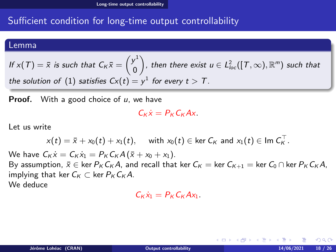#### <span id="page-37-0"></span>Lemma

If 
$$
x(T) = \overline{x}
$$
 is such that  $C_K \overline{x} = \begin{pmatrix} y^1 \\ 0 \end{pmatrix}$ , then there exist  $u \in L^2_{loc}([T, \infty), \mathbb{R}^m)$  such that  
the solution of (1) satisfies  $Cx(t) = y^1$  for every  $t > T$ .

**Proof.** With a good choice of  $u$ , we have

$$
C_K\dot{x}=P_KC_KAx.
$$

Let us write

$$
x(t) = \bar{x} + x_0(t) + x_1(t), \quad \text{ with } x_0(t) \in \ker C_K \text{ and } x_1(t) \in \text{Im } C_K^{\top}.
$$

We have  $C_K \dot{x} = C_K \dot{x}_1 = P_K C_K A (\bar{x} + x_0 + x_1)$ . By assumption,  $\bar{x} \in \text{ker } P_K C_K A$ , and recall that ker  $C_K = \text{ker } C_{K+1} = \text{ker } C_0 \cap \text{ker } P_K C_K A$ , implying that ker  $C_K \subset \text{ker } P_K C_K A$ . We deduce

$$
C_K\dot{x}_1=P_KC_KAx_1.
$$

つくい

**K ロ ⊁ K 伊 ⊁ K ミ ⊁**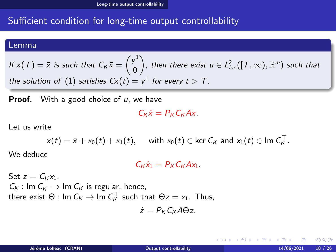#### <span id="page-38-0"></span>Lemma

If 
$$
x(T) = \overline{x}
$$
 is such that  $C_K \overline{x} = \begin{pmatrix} y^1 \\ 0 \end{pmatrix}$ , then there exist  $u \in L^2_{loc}([T, \infty), \mathbb{R}^m)$  such that  
the solution of (1) satisfies  $Cx(t) = y^1$  for every  $t > T$ .

**Proof.** With a good choice of  $u$ , we have

$$
C_K\dot{x}=P_KC_KAx.
$$

Let us write

$$
x(t) = \bar{x} + x_0(t) + x_1(t), \quad \text{ with } x_0(t) \in \text{ker } C_K \text{ and } x_1(t) \in \text{Im } C_K^{\top}.
$$

We deduce

$$
C_K\dot{x}_1=P_KC_KAx_1.
$$

Set  $z = C_K x_1$ .  $C_K: \text{Im } C_K^{\top} \to \text{Im } C_K$  is regular, hence, there exist  $\Theta$  : Im  $C_K \to \text{Im } C_K^{\top}$  such that  $\Theta z = x_1$ . Thus,

$$
\dot{z}=P_K C_K A\Theta z.
$$

つくい

**K ロ ▶ K 何 ▶ K**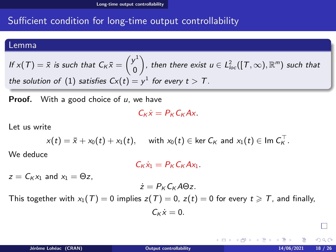#### <span id="page-39-0"></span>Lemma

If 
$$
x(T) = \overline{x}
$$
 is such that  $C_K \overline{x} = \begin{pmatrix} y^1 \\ 0 \end{pmatrix}$ , then there exist  $u \in L^2_{loc}([T, \infty), \mathbb{R}^m)$  such that  
the solution of (1) satisfies  $Cx(t) = y^1$  for every  $t > T$ .

**Proof.** With a good choice of  $u$ , we have

$$
C_K\dot{x}=P_KC_KAx.
$$

Let us write

$$
x(t) = \bar{x} + x_0(t) + x_1(t), \quad \text{with } x_0(t) \in \text{ker } C_K \text{ and } x_1(t) \in \text{Im } C_K^\top.
$$

We deduce

 $C_k \dot{x}_1 = P_k C_k A x_1.$ 

 $z = C_K x_1$  and  $x_1 = \Theta z$ .

 $\dot{z}=P_K C_K A \Theta z.$ 

This together with  $x_1(T) = 0$  implies  $z(T) = 0$ ,  $z(t) = 0$  for every  $t \geq T$ , and finally,

$$
C_K\dot{x}=0.
$$

 $\Omega$ 

**K ロ ⊁ K 個 ≯ K 差 ⊁ K**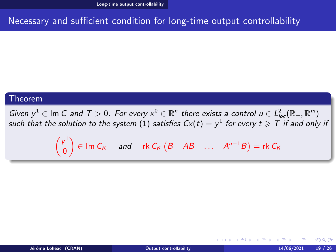# <span id="page-40-0"></span>Necessary and sufficient condition for long-time output controllability

#### Theorem

Given  $y^1 \in \text{Im } C$  and  $T > 0$ . For every  $x^0 \in \mathbb{R}^n$  there exists a control  $u \in L^2_{loc}(\mathbb{R}_+, \mathbb{R}^m)$ such that the solution to the system  $(1)$  satisfies  $C\! x(t) = y^1$  for every  $t\geqslant \overline{T}$  if and only it

> $\left( y^{1}\right)$ 0  $\mathcal{L}_{\mathsf{K}}$  and rk  $\mathcal{C}_{\mathsf{K}}$  (B AB ...  $A^{n-1}B$ ) = rk  $\mathcal{C}_{\mathsf{K}}$

 $\Omega$ 

K ロ ▶ K 御 ▶ K 君 ▶ K 君 ▶ ...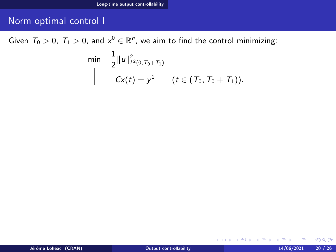# <span id="page-41-0"></span>Norm optimal control I

Given  $T_0 > 0$ ,  $T_1 > 0$ , and  $x^0 \in \mathbb{R}^n$ , we aim to find the control minimizing:

$$
\begin{array}{ll}\n\min & \frac{1}{2} ||u||_{L^2(0,T_0+T_1)}^2 \\
& C\times(t) = y^1 \quad (t \in (T_0, T_0+T_1)).\n\end{array}
$$

 $2Q$ 

メロトメ 伊 トメ ミトメ 毛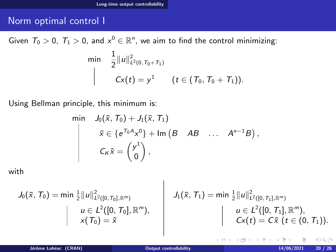# <span id="page-42-0"></span>Norm optimal control I

Given  $T_0 > 0$ ,  $T_1 > 0$ , and  $x^0 \in \mathbb{R}^n$ , we aim to find the control minimizing:

$$
\begin{array}{ll}\n\min & \frac{1}{2} ||u||_{L^2(0,T_0+T_1)}^2 \\
& \bigg| & Cx(t) = y^1 \quad (t \in (T_0, T_0+T_1)).\n\end{array}
$$

Using Bellman principle, this minimum is:

$$
\begin{array}{ll}\n\min & J_0(\bar{x}, T_0) + J_1(\bar{x}, T_1) \\
& \bar{x} \in \{e^{T_0 A} x^0\} + \operatorname{Im} \left(B \quad AB \quad \dots \quad A^{n-1} B\right), \\
& C_K \bar{x} = \begin{pmatrix} y^1 \\ 0 \end{pmatrix},\n\end{array}
$$

 $\overline{1}$ 

with

$$
J_0(\bar{x}, T_0) = \min \frac{1}{2} ||u||^2_{L^2([0, T_0], \mathbb{R}^m)}
$$
  
\n
$$
u \in L^2([0, T_0], \mathbb{R}^m),
$$
  
\n
$$
x(T_0) = \bar{x}
$$
  
\n
$$
J_1(\bar{x}, T_1) = \min \frac{1}{2} ||u||^2_{L^2([0, T_1], \mathbb{R}^m)}
$$
  
\n
$$
u \in L^2([0, T_1], \mathbb{R}^m),
$$
  
\n
$$
Cx(t) = C\bar{x} \ (t \in (0, T_1)).
$$

 $QQ$ 

**Kロトメ部 トメミト**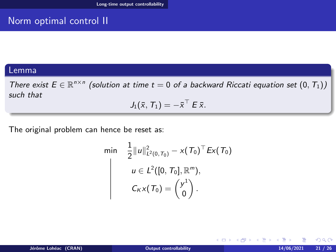# <span id="page-43-0"></span>Norm optimal control II

### Lemma

There exist  $E \in \mathbb{R}^{n \times n}$  (solution at time  $t = 0$  of a backward Riccati equation set  $(0, T_1)$ ) such that

$$
J_1(\bar{x}, T_1) = -\bar{x}^\top E \bar{x}.
$$

The original problem can hence be reset as:

$$
\begin{aligned}\n\min \quad & \frac{1}{2} \|u\|_{L^2(0, T_0)}^2 - x(T_0)^\top E x(T_0) \\
& u \in L^2([0, T_0], \mathbb{R}^m), \\
& C_K x(T_0) = \begin{pmatrix} y^1 \\ 0 \end{pmatrix}.\n\end{aligned}
$$

 $QQ$ 

**K ロ ト K 何 ト K ヨ ト**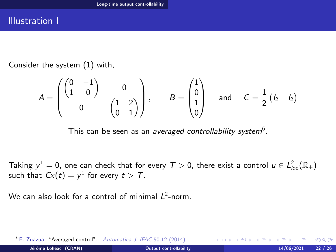### <span id="page-44-0"></span>Illustration I

Consider the system [\(1\)](#page-1-0) with,

$$
A = \begin{pmatrix} \begin{pmatrix} 0 & -1 \\ 1 & 0 \end{pmatrix} & 0 \\ 0 & \begin{pmatrix} 1 & 2 \\ 0 & 1 \end{pmatrix} \end{pmatrix}, \qquad B = \begin{pmatrix} 1 \\ 0 \\ 1 \\ 0 \end{pmatrix} \quad \text{and} \quad C = \frac{1}{2} \begin{pmatrix} I_2 & I_2 \end{pmatrix}
$$

This can be seen as an *averaged controllability system* $^6$ *.* 

Taking  $y^1=0$ , one can check that for every  $\mathcal{T}>0$ , there exist a control  $u\in L^2_{loc}(\mathbb{R}_+)$ such that  $Cx(t)=y^1$  for every  $t>T$ .

We can also look for a control of minimal  $L^2$ -norm.

 $\Omega$ 

**◆ロト→伊ト** 

<sup>6</sup>E. Zuazua. "Averaged control". Automatica J. IFAC 50.12 (2014) Jérôme Lohéac (CRAN) **[Output controllability](#page-0-0)** 14/06/2021 22 / 26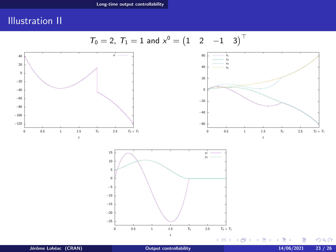# <span id="page-45-0"></span>Illustration II

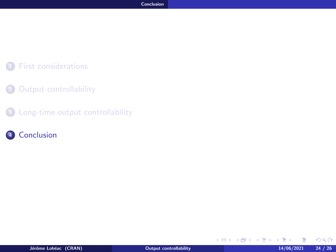### <span id="page-46-0"></span>**1** [First considerations](#page-5-0)

#### 2 [Output controllability](#page-9-0)

<sup>3</sup> [Long-time output controllability](#page-18-0)

### 4 [Conclusion](#page-46-0)

**In** 

 $299$ 

メロトメ 伊 トメ きょくき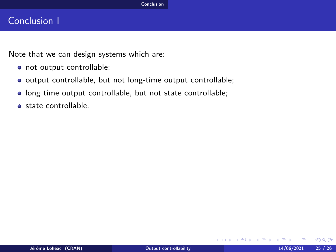## <span id="page-47-0"></span>Conclusion I

Note that we can design systems which are:

- not output controllable;
- o output controllable, but not long-time output controllable;
- long time output controllable, but not state controllable;
- state controllable.

 $QQ$ 

イロメ イ母メ イヨメ イ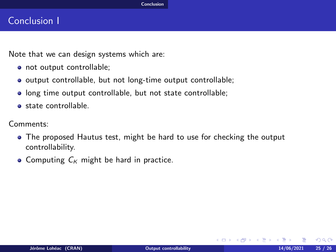# <span id="page-48-0"></span>Conclusion I

Note that we can design systems which are:

- o not output controllable;
- output controllable, but not long-time output controllable;
- long time output controllable, but not state controllable;
- state controllable.

Comments:

- The proposed Hautus test, might be hard to use for checking the output controllability.
- Computing  $C_K$  might be hard in practice.

 $\Omega$ 

イロメ イ母メ イヨメ イ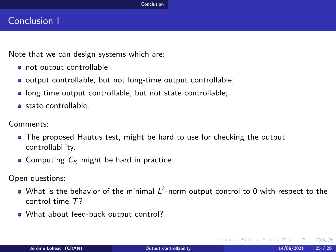# <span id="page-49-0"></span>Conclusion I

Note that we can design systems which are:

- o not output controllable;
- output controllable, but not long-time output controllable;
- long time output controllable, but not state controllable;
- **state controllable**

Comments:

- The proposed Hautus test, might be hard to use for checking the output controllability.
- Computing  $C_K$  might be hard in practice.

Open questions:

- What is the behavior of the minimal  $L^2$ -norm output control to 0 with respect to the control time T?
- What about feed-back output control?

 $\Omega$ 

イロメ イ母メ イヨメ イヨ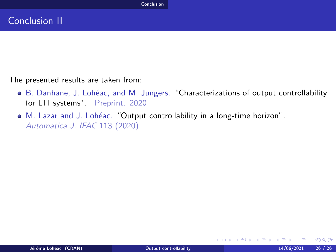<span id="page-50-0"></span>The presented results are taken from:

- $\bullet$  B. Danhane, J. Lohéac, and M. Jungers. "Characterizations of output controllability for LTI systems" Preprint. 2020
- M. Lazar and J. Lohéac. "Output controllability in a long-time horizon". Automatica J. IFAC 113 (2020)

 $QQ$ 

イロメ イ母メ イヨメ イヨ